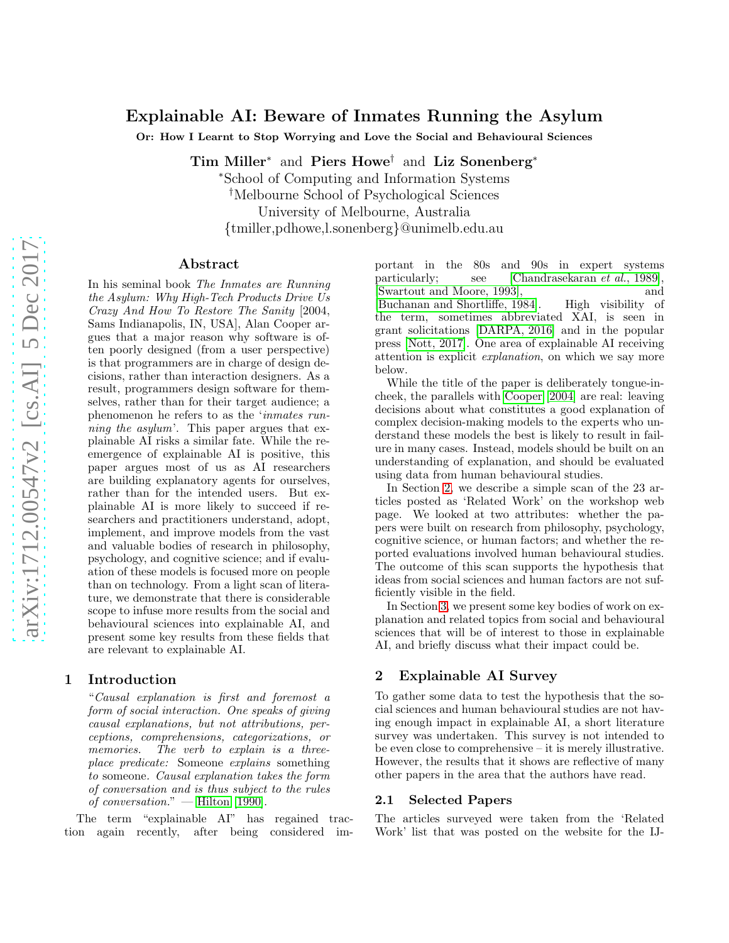## Explainable AI: Beware of Inmates Running the Asylum

Or: How I Learnt to Stop Worrying and Love the Social and Behavioural Sciences

Tim Miller<sup>∗</sup> and Piers Howe† and Liz Sonenberg<sup>∗</sup>

<sup>∗</sup>School of Computing and Information Systems †Melbourne School of Psychological Sciences University of Melbourne, Australia {tmiller,pdhowe,l.sonenberg}@unimelb.edu.au

#### Abstract

In his seminal book *The Inmates are Running the Asylum: Why High-Tech Products Drive Us Crazy And How To Restore The Sanity* [2004, Sams Indianapolis, IN, USA], Alan Cooper argues that a major reason why software is often poorly designed (from a user perspective) is that programmers are in charge of design decisions, rather than interaction designers. As a result, programmers design software for themselves, rather than for their target audience; a phenomenon he refers to as the '*inmates running the asylum*'. This paper argues that explainable AI risks a similar fate. While the reemergence of explainable AI is positive, this paper argues most of us as AI researchers are building explanatory agents for ourselves, rather than for the intended users. But explainable AI is more likely to succeed if researchers and practitioners understand, adopt, implement, and improve models from the vast and valuable bodies of research in philosophy, psychology, and cognitive science; and if evaluation of these models is focused more on people than on technology. From a light scan of literature, we demonstrate that there is considerable scope to infuse more results from the social and behavioural sciences into explainable AI, and present some key results from these fields that are relevant to explainable AI.

### 1 Introduction

"*Causal explanation is first and foremost a form of social interaction. One speaks of giving causal explanations, but not attributions, perceptions, comprehensions, categorizations, or memories. The verb to explain is a threeplace predicate:* Someone *explains* something *to* someone*. Causal explanation takes the form of conversation and is thus subject to the rules of conversation.*" — [Hilton \[1990\]](#page-4-0).

The term "explainable AI" has regained traction again recently, after being considered important in the 80s and 90s in expert systems particularly; see [\[Chandrasekaran](#page-4-1) *et al.*, 1989], [\[Swartout and Moore, 1993\]](#page-4-2), and [\[Buchanan and Shortliffe, 1984\]](#page-4-3). High visibility of the term, sometimes abbreviated XAI, is seen in grant solicitations [\[DARPA, 2016\]](#page-4-4) and in the popular press [\[Nott, 2017\]](#page-4-5). One area of explainable AI receiving attention is explicit *explanation*, on which we say more below.

While the title of the paper is deliberately tongue-incheek, the parallels with [Cooper \[2004\]](#page-4-6) are real: leaving decisions about what constitutes a good explanation of complex decision-making models to the experts who understand these models the best is likely to result in failure in many cases. Instead, models should be built on an understanding of explanation, and should be evaluated using data from human behavioural studies.

In Section [2,](#page-0-0) we describe a simple scan of the 23 articles posted as 'Related Work' on the workshop web page. We looked at two attributes: whether the papers were built on research from philosophy, psychology, cognitive science, or human factors; and whether the reported evaluations involved human behavioural studies. The outcome of this scan supports the hypothesis that ideas from social sciences and human factors are not sufficiently visible in the field.

In Section [3,](#page-2-0) we present some key bodies of work on explanation and related topics from social and behavioural sciences that will be of interest to those in explainable AI, and briefly discuss what their impact could be.

#### <span id="page-0-0"></span>2 Explainable AI Survey

To gather some data to test the hypothesis that the social sciences and human behavioural studies are not having enough impact in explainable AI, a short literature survey was undertaken. This survey is not intended to be even close to comprehensive – it is merely illustrative. However, the results that it shows are reflective of many other papers in the area that the authors have read.

#### 2.1 Selected Papers

The articles surveyed were taken from the 'Related Work' list that was posted on the website for the IJ-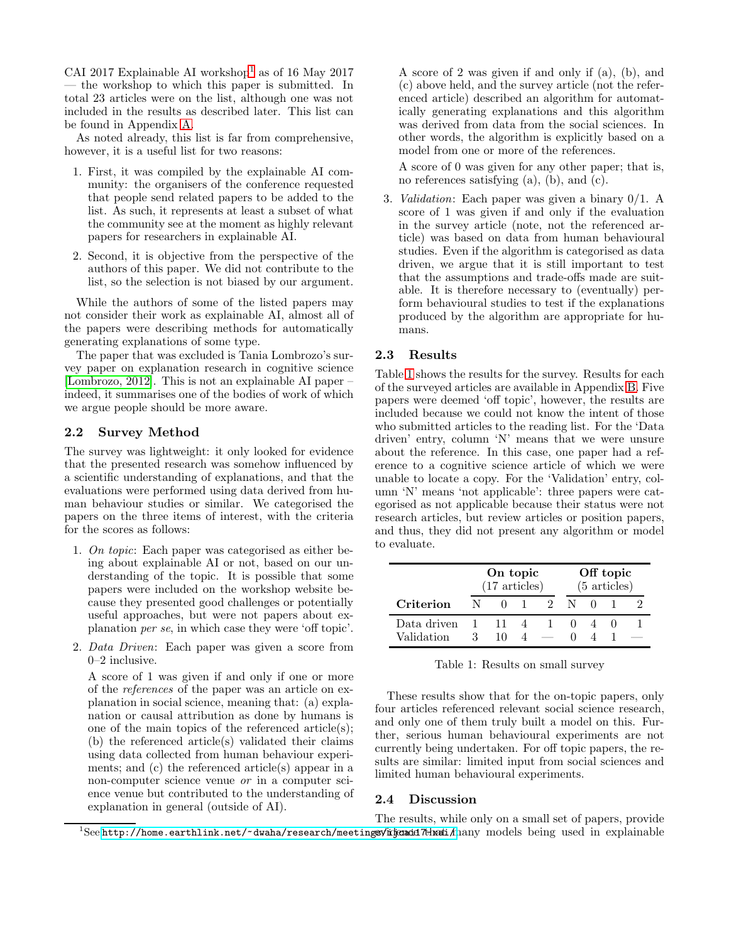CAI 20[1](#page-1-0)7 Explainable AI workshop<sup>1</sup> as of 16 May 2017 — the workshop to which this paper is submitted. In total 23 articles were on the list, although one was not included in the results as described later. This list can be found in Appendix [A.](#page-5-0)

As noted already, this list is far from comprehensive, however, it is a useful list for two reasons:

- 1. First, it was compiled by the explainable AI community: the organisers of the conference requested that people send related papers to be added to the list. As such, it represents at least a subset of what the community see at the moment as highly relevant papers for researchers in explainable AI.
- 2. Second, it is objective from the perspective of the authors of this paper. We did not contribute to the list, so the selection is not biased by our argument.

While the authors of some of the listed papers may not consider their work as explainable AI, almost all of the papers were describing methods for automatically generating explanations of some type.

The paper that was excluded is Tania Lombrozo's survey paper on explanation research in cognitive science [\[Lombrozo, 2012\]](#page-4-7). This is not an explainable AI paper – indeed, it summarises one of the bodies of work of which we argue people should be more aware.

#### 2.2 Survey Method

The survey was lightweight: it only looked for evidence that the presented research was somehow influenced by a scientific understanding of explanations, and that the evaluations were performed using data derived from human behaviour studies or similar. We categorised the papers on the three items of interest, with the criteria for the scores as follows:

- 1. *On topic*: Each paper was categorised as either being about explainable AI or not, based on our understanding of the topic. It is possible that some papers were included on the workshop website because they presented good challenges or potentially useful approaches, but were not papers about explanation *per se*, in which case they were 'off topic'.
- 2. *Data Driven*: Each paper was given a score from 0–2 inclusive.

A score of 1 was given if and only if one or more of the *references* of the paper was an article on explanation in social science, meaning that: (a) explanation or causal attribution as done by humans is one of the main topics of the referenced article(s); (b) the referenced article(s) validated their claims using data collected from human behaviour experiments; and (c) the referenced article(s) appear in a non-computer science venue *or* in a computer science venue but contributed to the understanding of explanation in general (outside of AI).

A score of 2 was given if and only if (a), (b), and (c) above held, and the survey article (not the referenced article) described an algorithm for automatically generating explanations and this algorithm was derived from data from the social sciences. In other words, the algorithm is explicitly based on a model from one or more of the references.

A score of 0 was given for any other paper; that is, no references satisfying (a), (b), and (c).

3. *Validation*: Each paper was given a binary 0/1. A score of 1 was given if and only if the evaluation in the survey article (note, not the referenced article) was based on data from human behavioural studies. Even if the algorithm is categorised as data driven, we argue that it is still important to test that the assumptions and trade-offs made are suitable. It is therefore necessary to (eventually) perform behavioural studies to test if the explanations produced by the algorithm are appropriate for humans.

### 2.3 Results

Table [1](#page-1-1) shows the results for the survey. Results for each of the surveyed articles are available in Appendix [B.](#page-6-0) Five papers were deemed 'off topic', however, the results are included because we could not know the intent of those who submitted articles to the reading list. For the 'Data driven' entry, column 'N' means that we were unsure about the reference. In this case, one paper had a reference to a cognitive science article of which we were unable to locate a copy. For the 'Validation' entry, column 'N' means 'not applicable': three papers were categorised as not applicable because their status were not research articles, but review articles or position papers, and thus, they did not present any algorithm or model to evaluate.

|             |   | On topic<br>$(17 \text{ articles})$ |  |             |  | Off topic<br>$(5 \text{ articles})$ |  |  |  |
|-------------|---|-------------------------------------|--|-------------|--|-------------------------------------|--|--|--|
| Criterion   | N |                                     |  | $2^{\circ}$ |  |                                     |  |  |  |
| Data driven |   |                                     |  |             |  |                                     |  |  |  |
| Validation  |   |                                     |  |             |  |                                     |  |  |  |

<span id="page-1-1"></span>Table 1: Results on small survey

These results show that for the on-topic papers, only four articles referenced relevant social science research, and only one of them truly built a model on this. Further, serious human behavioural experiments are not currently being undertaken. For off topic papers, the results are similar: limited input from social sciences and limited human behavioural experiments.

### 2.4 Discussion

<span id="page-1-0"></span> $^1$ See http://home.earthlink.net/~dwaha/research/meetings/idjaadd7thati/many models being used in explainable The results, while only on a small set of papers, provide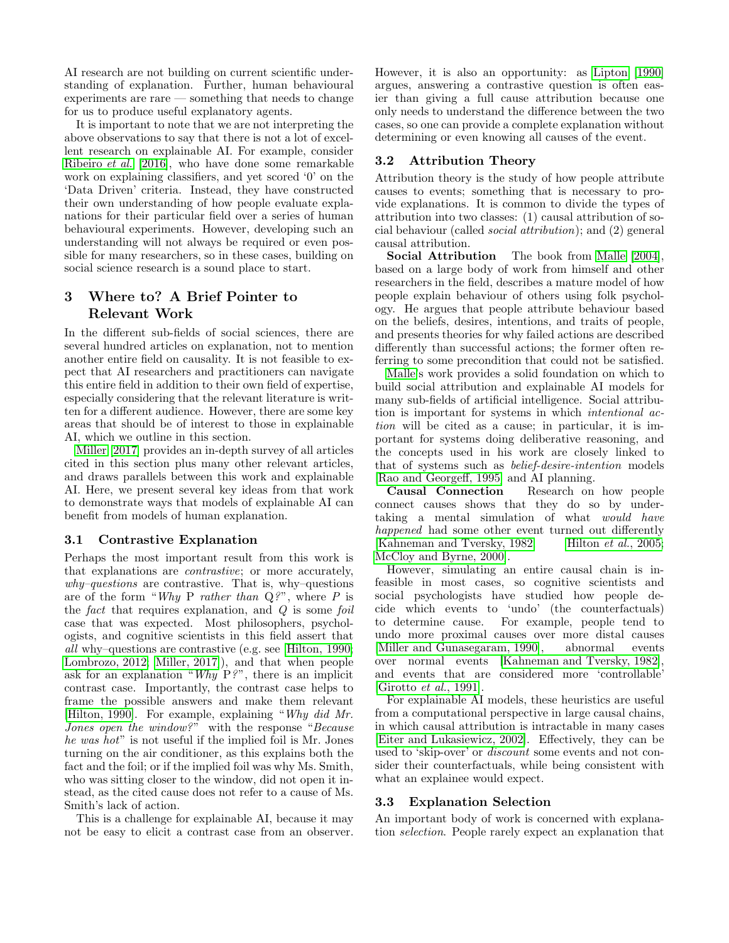AI research are not building on current scientific understanding of explanation. Further, human behavioural experiments are rare — something that needs to change for us to produce useful explanatory agents.

It is important to note that we are not interpreting the above observations to say that there is not a lot of excellent research on explainable AI. For example, consider [Ribeiro](#page-4-8) *et al.* [\[2016\]](#page-4-8), who have done some remarkable work on explaining classifiers, and yet scored '0' on the 'Data Driven' criteria. Instead, they have constructed their own understanding of how people evaluate explanations for their particular field over a series of human behavioural experiments. However, developing such an understanding will not always be required or even possible for many researchers, so in these cases, building on social science research is a sound place to start.

# <span id="page-2-0"></span>3 Where to? A Brief Pointer to Relevant Work

In the different sub-fields of social sciences, there are several hundred articles on explanation, not to mention another entire field on causality. It is not feasible to expect that AI researchers and practitioners can navigate this entire field in addition to their own field of expertise, especially considering that the relevant literature is written for a different audience. However, there are some key areas that should be of interest to those in explainable AI, which we outline in this section.

[Miller \[2017\]](#page-4-9) provides an in-depth survey of all articles cited in this section plus many other relevant articles, and draws parallels between this work and explainable AI. Here, we present several key ideas from that work to demonstrate ways that models of explainable AI can benefit from models of human explanation.

## 3.1 Contrastive Explanation

Perhaps the most important result from this work is that explanations are *contrastive*; or more accurately, *why–questions* are contrastive. That is, why–questions are of the form "*Why* P *rather than* Q*?*", where *P* is the *fact* that requires explanation, and *Q* is some *foil* case that was expected. Most philosophers, psychologists, and cognitive scientists in this field assert that *all* why–questions are contrastive (e.g. see [\[Hilton, 1990;](#page-4-0) [Lombrozo, 2012;](#page-4-7) [Miller, 2017\]](#page-4-9)), and that when people ask for an explanation "*Why* P*?*", there is an implicit contrast case. Importantly, the contrast case helps to frame the possible answers and make them relevant [\[Hilton, 1990\]](#page-4-0). For example, explaining "*Why did Mr. Jones open the window?*" with the response "*Because he was hot*" is not useful if the implied foil is Mr. Jones turning on the air conditioner, as this explains both the fact and the foil; or if the implied foil was why Ms. Smith, who was sitting closer to the window, did not open it instead, as the cited cause does not refer to a cause of Ms. Smith's lack of action.

This is a challenge for explainable AI, because it may not be easy to elicit a contrast case from an observer. However, it is also an opportunity: as [Lipton \[1990\]](#page-4-10) argues, answering a contrastive question is often easier than giving a full cause attribution because one only needs to understand the difference between the two cases, so one can provide a complete explanation without determining or even knowing all causes of the event.

# 3.2 Attribution Theory

Attribution theory is the study of how people attribute causes to events; something that is necessary to provide explanations. It is common to divide the types of attribution into two classes: (1) causal attribution of social behaviour (called *social attribution*); and (2) general causal attribution.

Social Attribution The book from [Malle \[2004\]](#page-4-11), based on a large body of work from himself and other researchers in the field, describes a mature model of how people explain behaviour of others using folk psychology. He argues that people attribute behaviour based on the beliefs, desires, intentions, and traits of people, and presents theories for why failed actions are described differently than successful actions; the former often referring to some precondition that could not be satisfied.

[Malle'](#page-4-11)s work provides a solid foundation on which to build social attribution and explainable AI models for many sub-fields of artificial intelligence. Social attribution is important for systems in which *intentional action* will be cited as a cause; in particular, it is important for systems doing deliberative reasoning, and the concepts used in his work are closely linked to that of systems such as *belief-desire-intention* models [\[Rao and Georgeff, 1995\]](#page-4-12) and AI planning.

Causal Connection Research on how people connect causes shows that they do so by undertaking a mental simulation of what *would have happened* had some other event turned out differently [\[Kahneman and Tversky, 1982;](#page-4-13) [Hilton](#page-4-14) *et al.*, 2005; [McCloy and Byrne, 2000\]](#page-4-15).

However, simulating an entire causal chain is infeasible in most cases, so cognitive scientists and social psychologists have studied how people decide which events to 'undo' (the counterfactuals) to determine cause. For example, people tend to undo more proximal causes over more distal causes [\[Miller and Gunasegaram, 1990\]](#page-4-16), abnormal events over normal events [\[Kahneman and Tversky, 1982\]](#page-4-13), and events that are considered more 'controllable' [\[Girotto](#page-4-17) *et al.*, 1991].

For explainable AI models, these heuristics are useful from a computational perspective in large causal chains, in which causal attribution is intractable in many cases [\[Eiter and Lukasiewicz, 2002\]](#page-4-18). Effectively, they can be used to 'skip-over' or *discount* some events and not consider their counterfactuals, while being consistent with what an explainee would expect.

## <span id="page-2-1"></span>3.3 Explanation Selection

An important body of work is concerned with explanation *selection*. People rarely expect an explanation that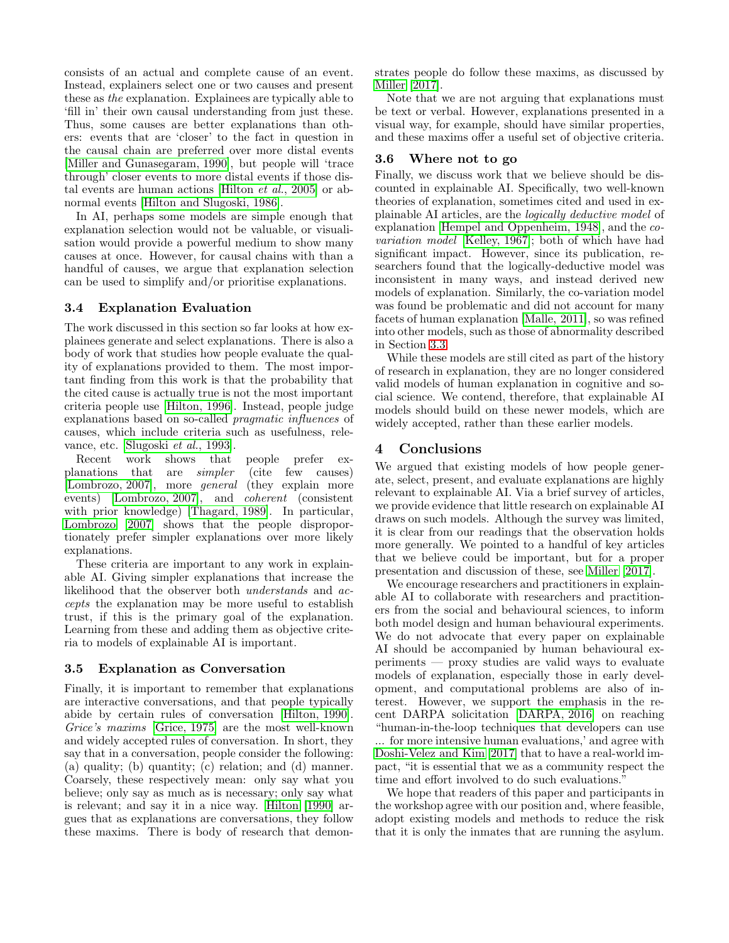consists of an actual and complete cause of an event. Instead, explainers select one or two causes and present these as *the* explanation. Explainees are typically able to 'fill in' their own causal understanding from just these. Thus, some causes are better explanations than others: events that are 'closer' to the fact in question in the causal chain are preferred over more distal events [\[Miller and Gunasegaram, 1990\]](#page-4-16), but people will 'trace through' closer events to more distal events if those distal events are human actions [\[Hilton](#page-4-14) *et al.*, 2005] or abnormal events [\[Hilton and Slugoski, 1986\]](#page-4-19).

In AI, perhaps some models are simple enough that explanation selection would not be valuable, or visualisation would provide a powerful medium to show many causes at once. However, for causal chains with than a handful of causes, we argue that explanation selection can be used to simplify and/or prioritise explanations.

## 3.4 Explanation Evaluation

The work discussed in this section so far looks at how explainees generate and select explanations. There is also a body of work that studies how people evaluate the quality of explanations provided to them. The most important finding from this work is that the probability that the cited cause is actually true is not the most important criteria people use [\[Hilton, 1996\]](#page-4-20). Instead, people judge explanations based on so-called *pragmatic influences* of causes, which include criteria such as usefulness, relevance, etc. [\[Slugoski](#page-4-21) *et al.*, 1993].

Recent work shows that people prefer explanations that are *simpler* (cite few causes) [\[Lombrozo, 2007\]](#page-4-22), more *general* (they explain more events) [\[Lombrozo, 2007\]](#page-4-22), and *coherent* (consistent with prior knowledge) [\[Thagard, 1989\]](#page-4-23). In particular, [Lombrozo \[2007\]](#page-4-22) shows that the people disproportionately prefer simpler explanations over more likely explanations.

These criteria are important to any work in explainable AI. Giving simpler explanations that increase the likelihood that the observer both *understands* and *accepts* the explanation may be more useful to establish trust, if this is the primary goal of the explanation. Learning from these and adding them as objective criteria to models of explainable AI is important.

## 3.5 Explanation as Conversation

Finally, it is important to remember that explanations are interactive conversations, and that people typically abide by certain rules of conversation [\[Hilton, 1990\]](#page-4-0). *Grice's maxims* [\[Grice, 1975\]](#page-4-24) are the most well-known and widely accepted rules of conversation. In short, they say that in a conversation, people consider the following: (a) quality; (b) quantity; (c) relation; and (d) manner. Coarsely, these respectively mean: only say what you believe; only say as much as is necessary; only say what is relevant; and say it in a nice way. [Hilton \[1990\]](#page-4-0) argues that as explanations are conversations, they follow these maxims. There is body of research that demonstrates people do follow these maxims, as discussed by [Miller \[2017\]](#page-4-9).

Note that we are not arguing that explanations must be text or verbal. However, explanations presented in a visual way, for example, should have similar properties, and these maxims offer a useful set of objective criteria.

## 3.6 Where not to go

Finally, we discuss work that we believe should be discounted in explainable AI. Specifically, two well-known theories of explanation, sometimes cited and used in explainable AI articles, are the *logically deductive model* of explanation [\[Hempel and Oppenheim, 1948\]](#page-4-25), and the *covariation model* [\[Kelley, 1967\]](#page-4-26); both of which have had significant impact. However, since its publication, researchers found that the logically-deductive model was inconsistent in many ways, and instead derived new models of explanation. Similarly, the co-variation model was found be problematic and did not account for many facets of human explanation [\[Malle, 2011\]](#page-4-27), so was refined into other models, such as those of abnormality described in Section [3.3.](#page-2-1)

While these models are still cited as part of the history of research in explanation, they are no longer considered valid models of human explanation in cognitive and social science. We contend, therefore, that explainable AI models should build on these newer models, which are widely accepted, rather than these earlier models.

## 4 Conclusions

We argued that existing models of how people generate, select, present, and evaluate explanations are highly relevant to explainable AI. Via a brief survey of articles, we provide evidence that little research on explainable AI draws on such models. Although the survey was limited, it is clear from our readings that the observation holds more generally. We pointed to a handful of key articles that we believe could be important, but for a proper presentation and discussion of these, see [Miller \[2017\]](#page-4-9).

We encourage researchers and practitioners in explainable AI to collaborate with researchers and practitioners from the social and behavioural sciences, to inform both model design and human behavioural experiments. We do not advocate that every paper on explainable AI should be accompanied by human behavioural experiments — proxy studies are valid ways to evaluate models of explanation, especially those in early development, and computational problems are also of interest. However, we support the emphasis in the recent DARPA solicitation [\[DARPA, 2016\]](#page-4-4) on reaching "human-in-the-loop techniques that developers can use ... for more intensive human evaluations,' and agree with [Doshi-Velez and Kim \[2017\]](#page-4-28) that to have a real-world impact, "it is essential that we as a community respect the time and effort involved to do such evaluations."

We hope that readers of this paper and participants in the workshop agree with our position and, where feasible, adopt existing models and methods to reduce the risk that it is only the inmates that are running the asylum.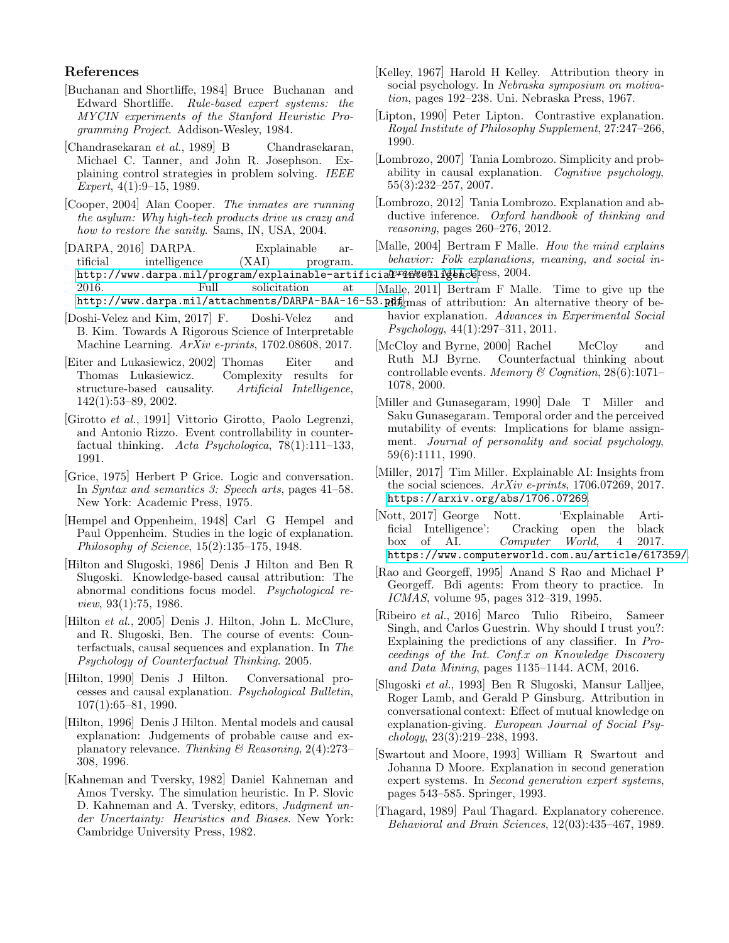## References

- <span id="page-4-3"></span>[Buchanan and Shortliffe, 1984] Bruce Buchanan and Edward Shortliffe. *Rule-based expert systems: the MYCIN experiments of the Stanford Heuristic Programming Project*. Addison-Wesley, 1984.
- <span id="page-4-1"></span>[Chandrasekaran *et al.*, 1989] B Chandrasekaran, Michael C. Tanner, and John R. Josephson. Explaining control strategies in problem solving. *IEEE Expert*, 4(1):9–15, 1989.
- <span id="page-4-6"></span>[Cooper, 2004] Alan Cooper. *The inmates are running the asylum: Why high-tech products drive us crazy and how to restore the sanity*. Sams, IN, USA, 2004.
- <span id="page-4-4"></span>[DARPA, 2016] DARPA. Explainable artificial intelligence (XAI) program. http://www.darpa.mil/program/explainable-artificia*l<sup>erqekien*liletalics, 2004.</sup> 2016. Full solicitation at <http://www.darpa.mil/attachments/DARPA-BAA-16-53.pdf>gmas of attribution: An alternative theory of be-
- <span id="page-4-28"></span>[Doshi-Velez and Kim, 2017] F. Doshi-Velez and B. Kim. Towards A Rigorous Science of Interpretable Machine Learning. *ArXiv e-prints*, 1702.08608, 2017.
- <span id="page-4-18"></span>[Eiter and Lukasiewicz, 2002] Thomas Eiter and Thomas Lukasiewicz. Complexity results for structure-based causality. Artificial Intelligence, structure-based causality. 142(1):53–89, 2002.
- <span id="page-4-17"></span>[Girotto *et al.*, 1991] Vittorio Girotto, Paolo Legrenzi, and Antonio Rizzo. Event controllability in counterfactual thinking. *Acta Psychologica*, 78(1):111–133, 1991.
- <span id="page-4-24"></span>[Grice, 1975] Herbert P Grice. Logic and conversation. In *Syntax and semantics 3: Speech arts*, pages 41–58. New York: Academic Press, 1975.
- <span id="page-4-25"></span>[Hempel and Oppenheim, 1948] Carl G Hempel and Paul Oppenheim. Studies in the logic of explanation. *Philosophy of Science*, 15(2):135–175, 1948.
- <span id="page-4-19"></span>[Hilton and Slugoski, 1986] Denis J Hilton and Ben R Slugoski. Knowledge-based causal attribution: The abnormal conditions focus model. *Psychological review*, 93(1):75, 1986.
- <span id="page-4-14"></span>[Hilton *et al.*, 2005] Denis J. Hilton, John L. McClure, and R. Slugoski, Ben. The course of events: Counterfactuals, causal sequences and explanation. In *The Psychology of Counterfactual Thinking*. 2005.
- <span id="page-4-0"></span>[Hilton, 1990] Denis J Hilton. Conversational processes and causal explanation. *Psychological Bulletin*, 107(1):65–81, 1990.
- <span id="page-4-20"></span>[Hilton, 1996] Denis J Hilton. Mental models and causal explanation: Judgements of probable cause and explanatory relevance. *Thinking & Reasoning*, 2(4):273– 308, 1996.
- <span id="page-4-13"></span>[Kahneman and Tversky, 1982] Daniel Kahneman and Amos Tversky. The simulation heuristic. In P. Slovic D. Kahneman and A. Tversky, editors, *Judgment under Uncertainty: Heuristics and Biases*. New York: Cambridge University Press, 1982.
- <span id="page-4-26"></span>[Kelley, 1967] Harold H Kelley. Attribution theory in social psychology. In *Nebraska symposium on motivation*, pages 192–238. Uni. Nebraska Press, 1967.
- <span id="page-4-10"></span>[Lipton, 1990] Peter Lipton. Contrastive explanation. *Royal Institute of Philosophy Supplement*, 27:247–266, 1990.
- <span id="page-4-22"></span>[Lombrozo, 2007] Tania Lombrozo. Simplicity and probability in causal explanation. *Cognitive psychology*, 55(3):232–257, 2007.
- <span id="page-4-7"></span>[Lombrozo, 2012] Tania Lombrozo. Explanation and abductive inference. *Oxford handbook of thinking and reasoning*, pages 260–276, 2012.
- <span id="page-4-11"></span>[Malle, 2004] Bertram F Malle. *How the mind explains behavior: Folk explanations, meaning, and social in-*
- <span id="page-4-27"></span>[Malle, 2011] Bertram F Malle. Time to give up the
	- havior explanation. *Advances in Experimental Social Psychology*, 44(1):297–311, 2011.
	- [McCloy and Byrne, 2000] Rachel McCloy and Ruth MJ Byrne. Counterfactual thinking about controllable events. *Memory & Cognition*, 28(6):1071– 1078, 2000.
- <span id="page-4-16"></span><span id="page-4-15"></span>[Miller and Gunasegaram, 1990] Dale T Miller and Saku Gunasegaram. Temporal order and the perceived mutability of events: Implications for blame assignment. *Journal of personality and social psychology*, 59(6):1111, 1990.
- <span id="page-4-9"></span>[Miller, 2017] Tim Miller. Explainable AI: Insights from the social sciences. *ArXiv e-prints*, 1706.07269, 2017. <https://arxiv.org/abs/1706.07269>.
- <span id="page-4-5"></span>[Nott, 2017] George Nott. 'Explainable Artificial Intelligence': Cracking open the black box of AI. *Computer World*, 4 2017. <https://www.computerworld.com.au/article/617359/>.
- <span id="page-4-12"></span>[Rao and Georgeff, 1995] Anand S Rao and Michael P Georgeff. Bdi agents: From theory to practice. In *ICMAS*, volume 95, pages 312–319, 1995.
- <span id="page-4-8"></span>[Ribeiro *et al.*, 2016] Marco Tulio Ribeiro, Sameer Singh, and Carlos Guestrin. Why should I trust you?: Explaining the predictions of any classifier. In *Proceedings of the Int. Conf.x on Knowledge Discovery and Data Mining*, pages 1135–1144. ACM, 2016.
- <span id="page-4-21"></span>[Slugoski *et al.*, 1993] Ben R Slugoski, Mansur Lalljee, Roger Lamb, and Gerald P Ginsburg. Attribution in conversational context: Effect of mutual knowledge on explanation-giving. *European Journal of Social Psychology*, 23(3):219–238, 1993.
- <span id="page-4-2"></span>[Swartout and Moore, 1993] William R Swartout and Johanna D Moore. Explanation in second generation expert systems. In *Second generation expert systems*, pages 543–585. Springer, 1993.
- <span id="page-4-23"></span>[Thagard, 1989] Paul Thagard. Explanatory coherence. *Behavioral and Brain Sciences*, 12(03):435–467, 1989.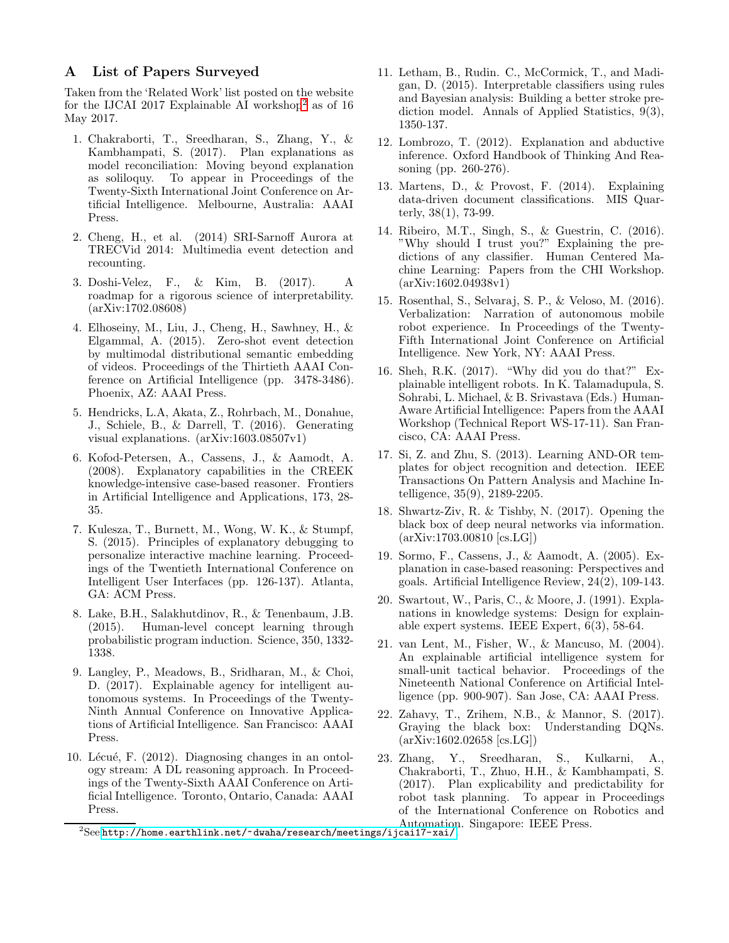## <span id="page-5-0"></span>A List of Papers Surveyed

Taken from the 'Related Work' list posted on the website for the IJCAI [2](#page-5-1)017 Explainable AI workshop<sup>2</sup> as of 16 May 2017.

- 1. Chakraborti, T., Sreedharan, S., Zhang, Y., & Kambhampati, S. (2017). Plan explanations as model reconciliation: Moving beyond explanation as soliloquy. To appear in Proceedings of the Twenty-Sixth International Joint Conference on Artificial Intelligence. Melbourne, Australia: AAAI Press.
- 2. Cheng, H., et al. (2014) SRI-Sarnoff Aurora at TRECVid 2014: Multimedia event detection and recounting.
- 3. Doshi-Velez, F., & Kim, B. (2017). A roadmap for a rigorous science of interpretability. (arXiv:1702.08608)
- 4. Elhoseiny, M., Liu, J., Cheng, H., Sawhney, H., & Elgammal, A. (2015). Zero-shot event detection by multimodal distributional semantic embedding of videos. Proceedings of the Thirtieth AAAI Conference on Artificial Intelligence (pp. 3478-3486). Phoenix, AZ: AAAI Press.
- 5. Hendricks, L.A, Akata, Z., Rohrbach, M., Donahue, J., Schiele, B., & Darrell, T. (2016). Generating visual explanations. (arXiv:1603.08507v1)
- 6. Kofod-Petersen, A., Cassens, J., & Aamodt, A. (2008). Explanatory capabilities in the CREEK knowledge-intensive case-based reasoner. Frontiers in Artificial Intelligence and Applications, 173, 28- 35.
- 7. Kulesza, T., Burnett, M., Wong, W. K., & Stumpf, S. (2015). Principles of explanatory debugging to personalize interactive machine learning. Proceedings of the Twentieth International Conference on Intelligent User Interfaces (pp. 126-137). Atlanta, GA: ACM Press.
- 8. Lake, B.H., Salakhutdinov, R., & Tenenbaum, J.B. (2015). Human-level concept learning through probabilistic program induction. Science, 350, 1332- 1338.
- 9. Langley, P., Meadows, B., Sridharan, M., & Choi, D. (2017). Explainable agency for intelligent autonomous systems. In Proceedings of the Twenty-Ninth Annual Conference on Innovative Applications of Artificial Intelligence. San Francisco: AAAI Press.
- 10. Lécué, F.  $(2012)$ . Diagnosing changes in an ontology stream: A DL reasoning approach. In Proceedings of the Twenty-Sixth AAAI Conference on Artificial Intelligence. Toronto, Ontario, Canada: AAAI Press.
- 11. Letham, B., Rudin. C., McCormick, T., and Madigan, D. (2015). Interpretable classifiers using rules and Bayesian analysis: Building a better stroke prediction model. Annals of Applied Statistics, 9(3), 1350-137.
- 12. Lombrozo, T. (2012). Explanation and abductive inference. Oxford Handbook of Thinking And Reasoning (pp. 260-276).
- 13. Martens, D., & Provost, F. (2014). Explaining data-driven document classifications. MIS Quarterly, 38(1), 73-99.
- 14. Ribeiro, M.T., Singh, S., & Guestrin, C. (2016). "Why should I trust you?" Explaining the predictions of any classifier. Human Centered Machine Learning: Papers from the CHI Workshop. (arXiv:1602.04938v1)
- 15. Rosenthal, S., Selvaraj, S. P., & Veloso, M. (2016). Verbalization: Narration of autonomous mobile robot experience. In Proceedings of the Twenty-Fifth International Joint Conference on Artificial Intelligence. New York, NY: AAAI Press.
- 16. Sheh, R.K. (2017). "Why did you do that?" Explainable intelligent robots. In K. Talamadupula, S. Sohrabi, L. Michael, & B. Srivastava (Eds.) Human-Aware Artificial Intelligence: Papers from the AAAI Workshop (Technical Report WS-17-11). San Francisco, CA: AAAI Press.
- 17. Si, Z. and Zhu, S. (2013). Learning AND-OR templates for object recognition and detection. IEEE Transactions On Pattern Analysis and Machine Intelligence, 35(9), 2189-2205.
- 18. Shwartz-Ziv, R. & Tishby, N. (2017). Opening the black box of deep neural networks via information. (arXiv:1703.00810 [cs.LG])
- 19. Sormo, F., Cassens, J., & Aamodt, A. (2005). Explanation in case-based reasoning: Perspectives and goals. Artificial Intelligence Review, 24(2), 109-143.
- 20. Swartout, W., Paris, C., & Moore, J. (1991). Explanations in knowledge systems: Design for explainable expert systems. IEEE Expert, 6(3), 58-64.
- 21. van Lent, M., Fisher, W., & Mancuso, M. (2004). An explainable artificial intelligence system for small-unit tactical behavior. Proceedings of the Nineteenth National Conference on Artificial Intelligence (pp. 900-907). San Jose, CA: AAAI Press.
- 22. Zahavy, T., Zrihem, N.B., & Mannor, S. (2017). Graying the black box: Understanding DQNs. (arXiv:1602.02658 [cs.LG])
- 23. Zhang, Y., Sreedharan, S., Kulkarni, A., Chakraborti, T., Zhuo, H.H., & Kambhampati, S. (2017). Plan explicability and predictability for robot task planning. To appear in Proceedings of the International Conference on Robotics and Automation. Singapore: IEEE Press.

<span id="page-5-1"></span><sup>2</sup> See <http://home.earthlink.net/~dwaha/research/meetings/ijcai17-xai/>.